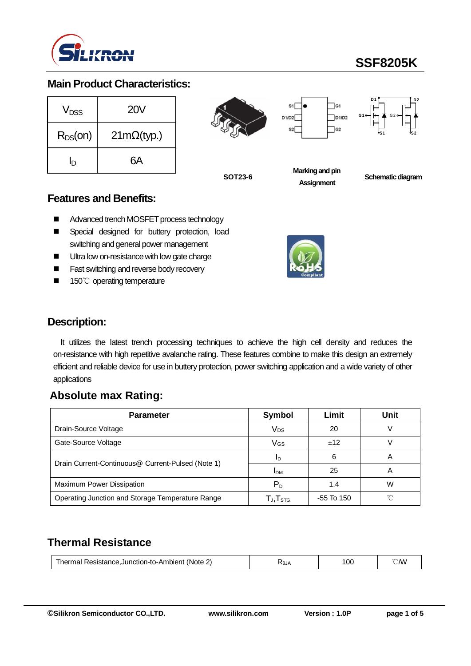

# **SSF8205K**

#### **Main Product Characteristics:**

| V <sub>DSS</sub> | <b>20V</b>        |  |  |
|------------------|-------------------|--|--|
| $R_{DS}(on)$     | $21m\Omega(typ.)$ |  |  |
| In               | 6А                |  |  |





**SOT23-6**

**Schematic diagram** 

#### **Features and Benefits:**

- Advanced trench MOSFET process technology
- **E** Special designed for buttery protection, load switching and general power management
- Ultra low on-resistance with low gate charge
- Fast switching and reverse body recovery
- 150℃ operating temperature



**Marking and pin Assignment**

### **Description:**

It utilizes the latest trench processing techniques to achieve the high cell density and reduces the on-resistance with high repetitive avalanche rating. These features combine to make this design an extremely efficient and reliable device for use in buttery protection, power switching application and a wide variety of other applications

## **Absolute max Rating:**

| <b>Parameter</b>                                  | Symbol                                               | Limit      | Unit |
|---------------------------------------------------|------------------------------------------------------|------------|------|
| Drain-Source Voltage                              | Vps                                                  | 20         |      |
| Gate-Source Voltage                               | VGs                                                  | ±12        |      |
| Drain Current-Continuous@ Current-Pulsed (Note 1) | ID                                                   | 6          | A    |
|                                                   | <b>IDM</b>                                           | 25         | А    |
| Maximum Power Dissipation                         | $P_D$                                                | 1.4        | W    |
| Operating Junction and Storage Temperature Range  | $\mathsf{T}_{\mathsf{J}}, \mathsf{T}_{\textsf{STG}}$ | -55 To 150 |      |

# **Thermal Resistance**

| UJA | Resistance.Junction-to-Ambient<br>hermal<br>'Note | ۳д | 100 | /V۱ |
|-----|---------------------------------------------------|----|-----|-----|
|-----|---------------------------------------------------|----|-----|-----|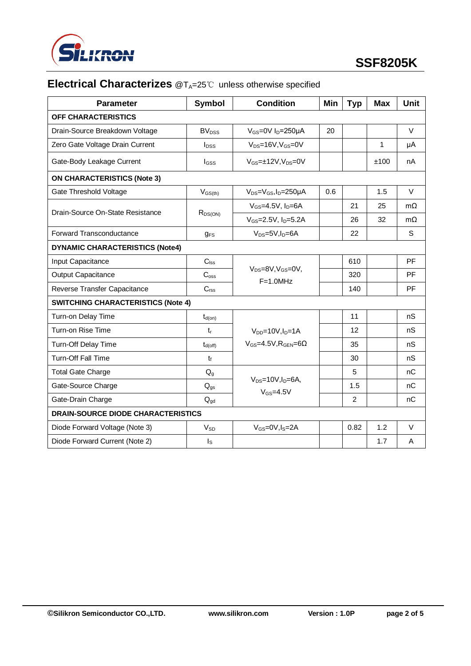

# **Electrical Characterizes** @T<sub>A</sub>=25℃ unless otherwise specified

| <b>Parameter</b>                          | <b>Symbol</b>            | <b>Condition</b>                           | Min | <b>Typ</b>     | <b>Max</b>   | <b>Unit</b> |  |
|-------------------------------------------|--------------------------|--------------------------------------------|-----|----------------|--------------|-------------|--|
| OFF CHARACTERISTICS                       |                          |                                            |     |                |              |             |  |
| Drain-Source Breakdown Voltage            | BV <sub>DSS</sub>        | $V_{GS}$ =0V I <sub>D</sub> =250µA         | 20  |                |              | $\vee$      |  |
| Zero Gate Voltage Drain Current           | $I_{\text{DSS}}$         | $V_{DS}$ =16V, $V_{GS}$ =0V                |     |                | $\mathbf{1}$ | μA          |  |
| Gate-Body Leakage Current                 | $I_{GSS}$                | $V_{GS}$ = $\pm$ 12V, V <sub>DS</sub> =0V  |     |                | ±100         | nA          |  |
| <b>ON CHARACTERISTICS (Note 3)</b>        |                          |                                            |     |                |              |             |  |
| Gate Threshold Voltage                    | $V_{GS(th)}$             | $V_{DS}=V_{GS}$ , I <sub>D</sub> =250µA    | 0.6 |                | 1.5          | $\vee$      |  |
| Drain-Source On-State Resistance          |                          | $V_{GS}=4.5V$ , $I_D=6A$                   |     | 21             | 25           | $m\Omega$   |  |
|                                           | $R_{DS(ON)}$             | $V_{GS} = 2.5V$ , $I_D = 5.2A$             |     | 26             | 32           | $m\Omega$   |  |
| Forward Transconductance                  | <b>gFS</b>               | $V_{DS}=5V, I_D=6A$                        |     | 22             |              | S           |  |
| <b>DYNAMIC CHARACTERISTICS (Note4)</b>    |                          |                                            |     |                |              |             |  |
| Input Capacitance                         | $C_{\text{lss}}$         |                                            |     | 610            |              | PF          |  |
| <b>Output Capacitance</b>                 | C <sub>oss</sub>         | $V_{DS}=8V$ , $V_{GS}=0V$ ,<br>$F=1.0$ MHz |     | 320            |              | PF          |  |
| Reverse Transfer Capacitance              | $C_{\mathsf{rss}}$       |                                            |     | 140            |              | PF          |  |
| <b>SWITCHING CHARACTERISTICS (Note 4)</b> |                          |                                            |     |                |              |             |  |
| Turn-on Delay Time                        | $t_{d(on)}$              |                                            |     | 11             |              | nS          |  |
| Turn-on Rise Time                         | $t_{\rm r}$              | $V_{DD} = 10V, I_D = 1A$                   |     | 12             |              | nS          |  |
| Turn-Off Delay Time                       | $t_{d(\text{off})}$      | $V_{GS} = 4.5V$ , $R_{GEN} = 6\Omega$      |     | 35             |              | nS          |  |
| <b>Turn-Off Fall Time</b>                 | $t_f$                    |                                            |     | 30             |              | nS          |  |
| <b>Total Gate Charge</b>                  | $Q_g$                    |                                            |     | 5              |              | nC          |  |
| Gate-Source Charge                        | $Q_{gs}$                 | $V_{DS}=10V, I_D=6A,$<br>$V_{GS} = 4.5V$   |     | 1.5            |              | nC          |  |
| Gate-Drain Charge                         | $\mathbf{Q}_{\text{gd}}$ |                                            |     | $\overline{2}$ |              | nC          |  |
| <b>DRAIN-SOURCE DIODE CHARACTERISTICS</b> |                          |                                            |     |                |              |             |  |
| Diode Forward Voltage (Note 3)            | <b>V<sub>SD</sub></b>    | $V_{GS} = 0V, I_S = 2A$                    |     | 0.82           | 1.2          | V           |  |
| Diode Forward Current (Note 2)            | $I_{\rm S}$              |                                            |     |                | 1.7          | A           |  |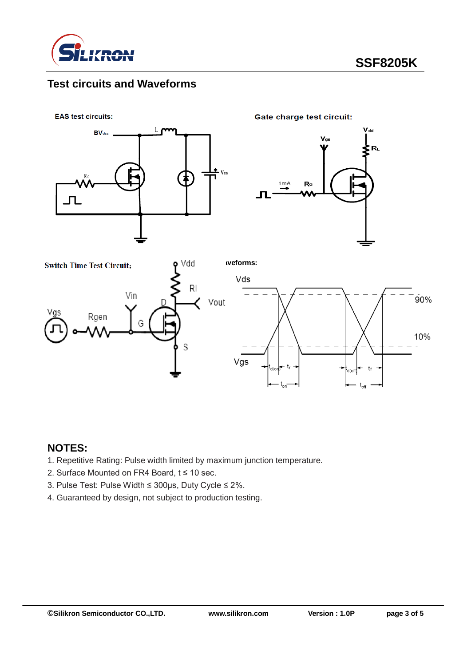

# **Test circuits and Waveforms**



### **NOTES:**

- 1. Repetitive Rating: Pulse width limited by maximum junction temperature.
- 2. Surface Mounted on FR4 Board, t ≤ 10 sec.
- 3. Pulse Test: Pulse Width ≤ 300μs, Duty Cycle ≤ 2%.
- 4. Guaranteed by design, not subject to production testing.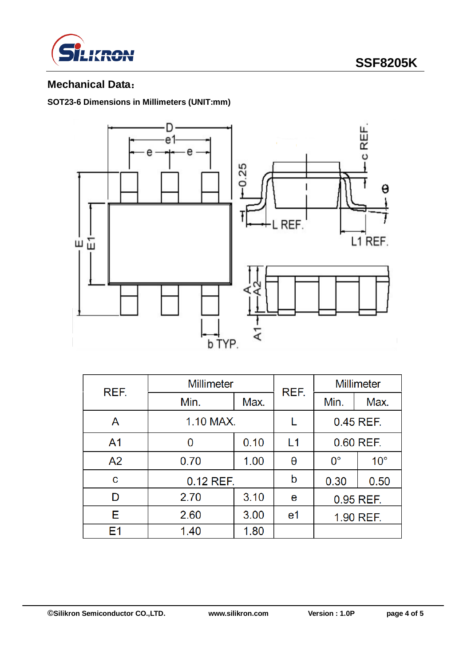



## **Mechanical Data**:

#### **SOT23-6 Dimensions in Millimeters (UNIT:mm)**



| REF.           | <b>Millimeter</b> |      | REF.           | <b>Millimeter</b> |              |  |
|----------------|-------------------|------|----------------|-------------------|--------------|--|
|                | Min.              | Max. |                | Min.              | Max.         |  |
| Α              | 1.10 MAX.         |      | 0.45 REF.      |                   |              |  |
| A <sub>1</sub> | 0                 | 0.10 | L1             | 0.60 REF.         |              |  |
| A <sub>2</sub> | 0.70              | 1.00 | θ              | $0^{\circ}$       | $10^{\circ}$ |  |
| C              | $0.12$ REF.       | b    | 0.30           | 0.50              |              |  |
| D              | 2.70              | 3.10 | е              | 0.95 REF.         |              |  |
| E.             | 2.60              | 3.00 | e <sub>1</sub> | 1.90 REF.         |              |  |
| E1             | 1.40              | 1.80 |                |                   |              |  |